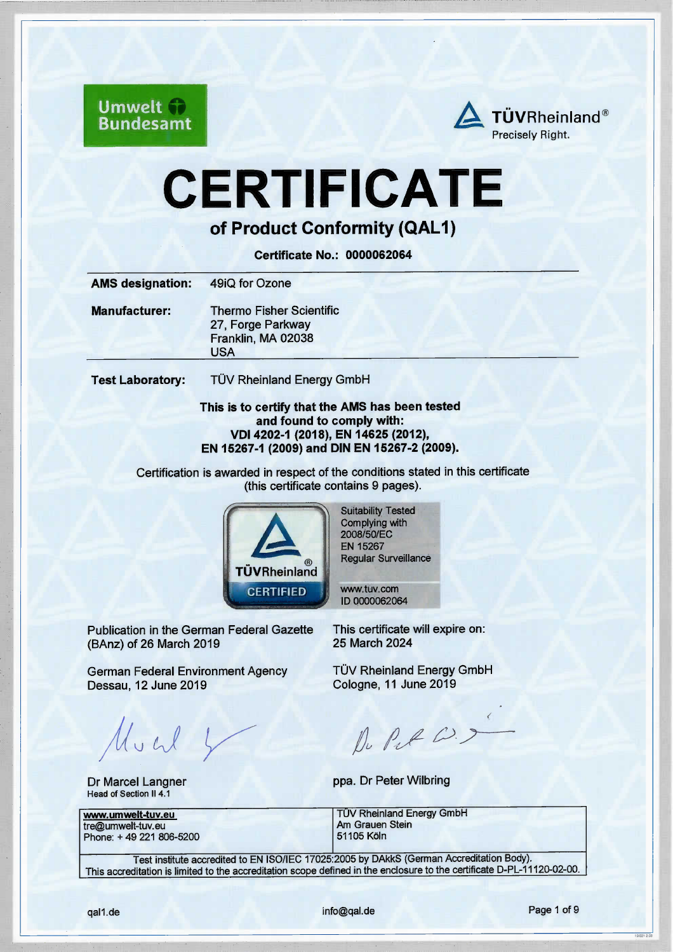**Umwelt Bundesamt** 



# **CERTIFICATE**

of Product Conformity (QAL1)

Certificate No.: 0000062064

|                                    | 49iQ for Ozone                                                             |
|------------------------------------|----------------------------------------------------------------------------|
| <b>Manufacturer:</b><br><b>USA</b> | <b>Thermo Fisher Scientific</b><br>27, Forge Parkway<br>Franklin, MA 02038 |

Test Laboratory: TÜV Rheinland Energy GmbH

#### This is to certify that the AMS has been tested and found to comply with: VDI 4202-1 (2018), EN 14625 (2012), EN 15267-1 (2009) and DIN EN 15267-2 (2009).

Ceriification is awarded in respect of the conditions stated in this certfficate (this cerifficate contains 9 pages).



Suitability Tested Complying with 2008/50/EC EN 15267 Regular Surveillance

vw.tuv.com l D 0000062064

Publication in the German Federal Gazette (BAnz) of 26 March 2019

German Federal Environment Agency Dessau, 12 June 2019 man Federal Ca.<br>119<br>|<br>|<br>|

Dr Marcel Langner Head of Section II 4.1

This certfficate will expire on: 25 March 2024

TÜV Rheinland Energy GmbH Cologne,11 June 2019

 $\rho$   $\rho$   $\rho$   $\rightarrow$ 

ppa. Dr Peter Wilbring

| www.umwelt-tuv.eu       | <b>TÜV Rheinland Energy GmbH</b> |  |
|-------------------------|----------------------------------|--|
| tre@umwelt-tuv.eu_      | Am Grauen Stein                  |  |
| Phone: +49 221 806-5200 | l 51105 Köln                     |  |
|                         |                                  |  |

Test institute accredited to EN ISO/IEC 17025:2005 by DAkks (Geman Accreditation Body). This accreditation is limited to the accreditation scope defined in the enclosure to the certificate D-PL-11120-02-00.

 $10(22)20$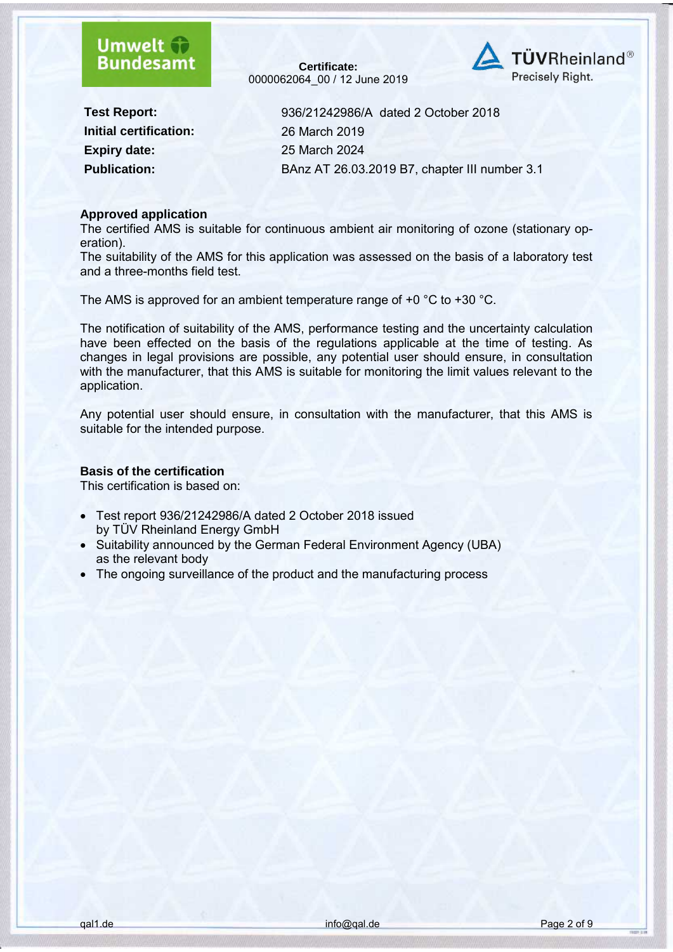### **Umwelt Bundesamt**

**Certificate:** 0000062064\_00 / 12 June 2019



**Initial certification:** 26 March 2019 **Expiry date:** 25 March 2024

**Test Report:** 936/21242986/A dated 2 October 2018 **Publication:** BAnz AT 26.03.2019 B7, chapter III number 3.1

#### **Approved application**

The certified AMS is suitable for continuous ambient air monitoring of ozone (stationary operation).

The suitability of the AMS for this application was assessed on the basis of a laboratory test and a three-months field test.

The AMS is approved for an ambient temperature range of +0 °C to +30 °C.

The notification of suitability of the AMS, performance testing and the uncertainty calculation have been effected on the basis of the regulations applicable at the time of testing. As changes in legal provisions are possible, any potential user should ensure, in consultation with the manufacturer, that this AMS is suitable for monitoring the limit values relevant to the application.

Any potential user should ensure, in consultation with the manufacturer, that this AMS is suitable for the intended purpose.

#### **Basis of the certification**

This certification is based on:

- Test report 936/21242986/A dated 2 October 2018 issued by TÜV Rheinland Energy GmbH
- Suitability announced by the German Federal Environment Agency (UBA) as the relevant body
- The ongoing surveillance of the product and the manufacturing process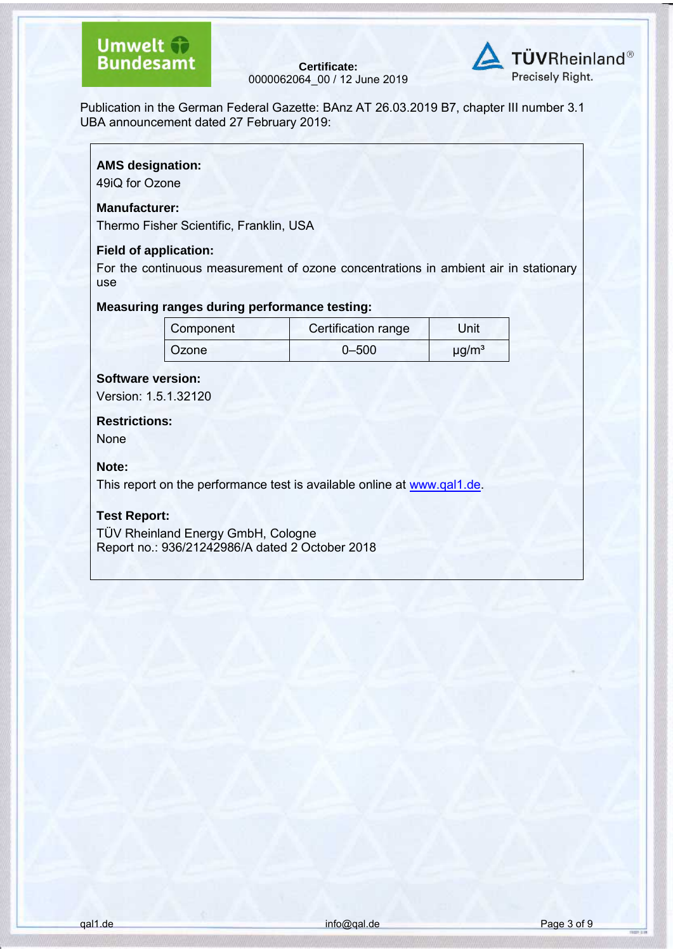### **Umwelt + Bundesamt**

**Certificate:** 0000062064\_00 / 12 June 2019



Publication in the German Federal Gazette: BAnz AT 26.03.2019 B7, chapter III number 3.1 UBA announcement dated 27 February 2019:

#### **AMS designation:**

49iQ for Ozone

#### **Manufacturer:**

Thermo Fisher Scientific, Franklin, USA

#### **Field of application:**

For the continuous measurement of ozone concentrations in ambient air in stationary use

#### **Measuring ranges during performance testing:**

| Component    | Certification range | Unit                   |
|--------------|---------------------|------------------------|
| <b>Ozone</b> | $0 - 500$           | $\mu$ g/m <sup>3</sup> |

#### **Software version:**

Version: 1.5.1.32120

**Restrictions:** None

#### **Note:**

This report on the performance test is available online at [www.qal1.de.](http://www.qal1.de/)

#### **Test Report:**

TÜV Rheinland Energy GmbH, Cologne Report no.: 936/21242986/A dated 2 October 2018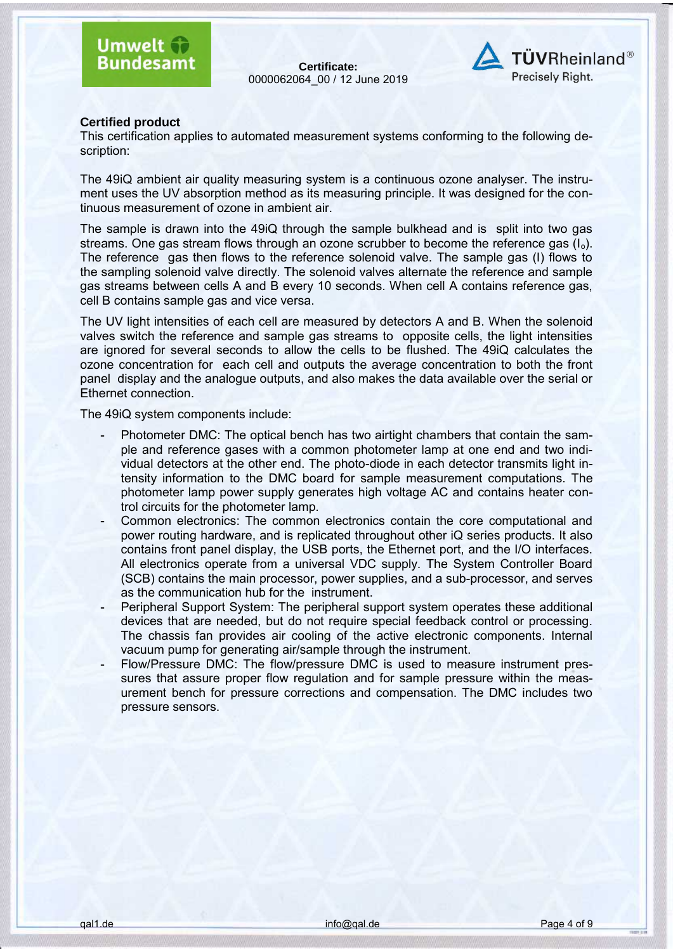**Certificate:** 0000062064\_00 / 12 June 2019



#### **Certified product**

This certification applies to automated measurement systems conforming to the following description:

The 49iQ ambient air quality measuring system is a continuous ozone analyser. The instrument uses the UV absorption method as its measuring principle. It was designed for the continuous measurement of ozone in ambient air.

The sample is drawn into the 49iQ through the sample bulkhead and is split into two gas streams. One gas stream flows through an ozone scrubber to become the reference gas  $(I_0)$ . The reference gas then flows to the reference solenoid valve. The sample gas (I) flows to the sampling solenoid valve directly. The solenoid valves alternate the reference and sample gas streams between cells A and B every 10 seconds. When cell A contains reference gas, cell B contains sample gas and vice versa.

The UV light intensities of each cell are measured by detectors A and B. When the solenoid valves switch the reference and sample gas streams to opposite cells, the light intensities are ignored for several seconds to allow the cells to be flushed. The 49iQ calculates the ozone concentration for each cell and outputs the average concentration to both the front panel display and the analogue outputs, and also makes the data available over the serial or Ethernet connection.

The 49iQ system components include:

- Photometer DMC: The optical bench has two airtight chambers that contain the sample and reference gases with a common photometer lamp at one end and two individual detectors at the other end. The photo-diode in each detector transmits light intensity information to the DMC board for sample measurement computations. The photometer lamp power supply generates high voltage AC and contains heater control circuits for the photometer lamp.
- Common electronics: The common electronics contain the core computational and power routing hardware, and is replicated throughout other iQ series products. It also contains front panel display, the USB ports, the Ethernet port, and the I/O interfaces. All electronics operate from a universal VDC supply. The System Controller Board (SCB) contains the main processor, power supplies, and a sub-processor, and serves as the communication hub for the instrument.
- Peripheral Support System: The peripheral support system operates these additional devices that are needed, but do not require special feedback control or processing. The chassis fan provides air cooling of the active electronic components. Internal vacuum pump for generating air/sample through the instrument.
- Flow/Pressure DMC: The flow/pressure DMC is used to measure instrument pressures that assure proper flow regulation and for sample pressure within the measurement bench for pressure corrections and compensation. The DMC includes two pressure sensors.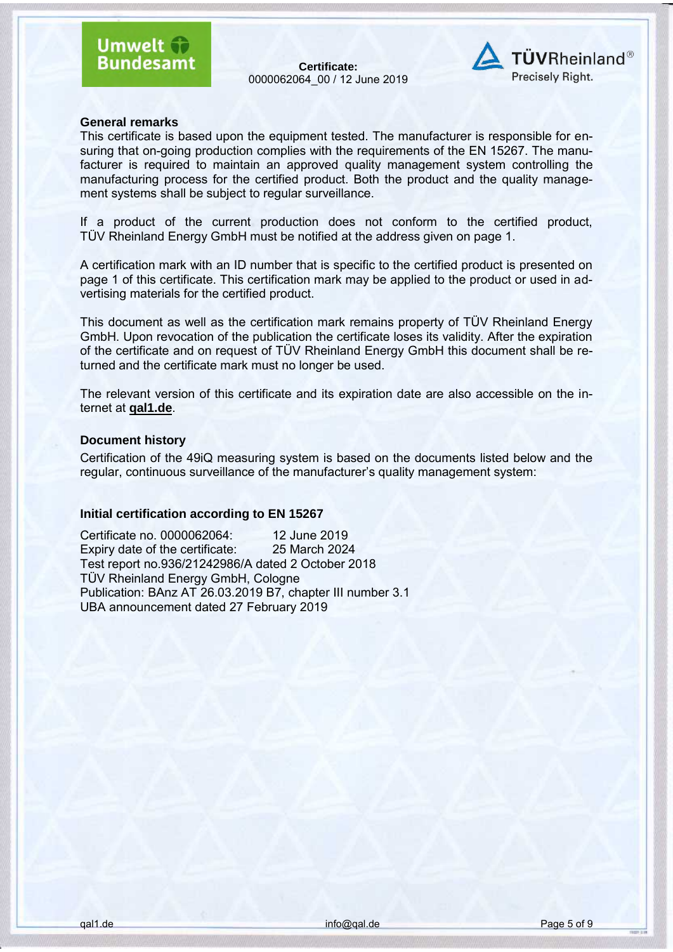**Certificate:** 0000062064\_00 / 12 June 2019



#### **General remarks**

This certificate is based upon the equipment tested. The manufacturer is responsible for ensuring that on-going production complies with the requirements of the EN 15267. The manufacturer is required to maintain an approved quality management system controlling the manufacturing process for the certified product. Both the product and the quality management systems shall be subject to regular surveillance.

If a product of the current production does not conform to the certified product, TÜV Rheinland Energy GmbH must be notified at the address given on page 1.

A certification mark with an ID number that is specific to the certified product is presented on page 1 of this certificate. This certification mark may be applied to the product or used in advertising materials for the certified product.

This document as well as the certification mark remains property of TÜV Rheinland Energy GmbH. Upon revocation of the publication the certificate loses its validity. After the expiration of the certificate and on request of TÜV Rheinland Energy GmbH this document shall be returned and the certificate mark must no longer be used.

The relevant version of this certificate and its expiration date are also accessible on the internet at **qal1.de**.

#### **Document history**

Certification of the 49iQ measuring system is based on the documents listed below and the regular, continuous surveillance of the manufacturer's quality management system:

#### **Initial certification according to EN 15267**

Certificate no. 0000062064: 12 June 2019 Expiry date of the certificate: 25 March 2024 Test report no.936/21242986/A dated 2 October 2018 TÜV Rheinland Energy GmbH, Cologne Publication: BAnz AT 26.03.2019 B7, chapter III number 3.1 UBA announcement dated 27 February 2019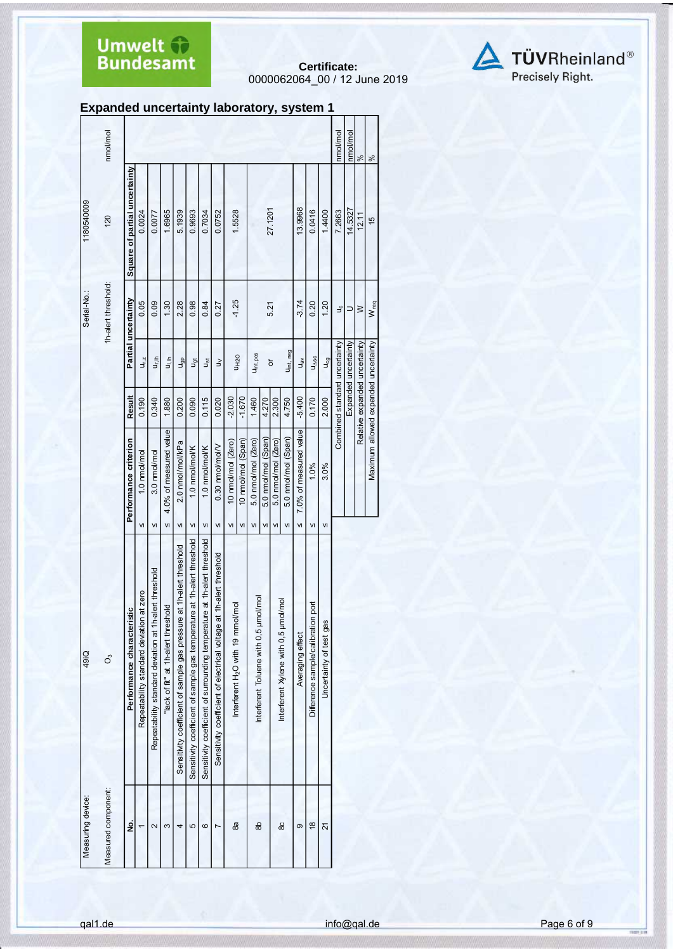**Certificate:** 0000062064\_00 / 12 June 2019



|  | <b>Expanded uncertainty laboratory, system 1</b> |  |  |
|--|--------------------------------------------------|--|--|
|--|--------------------------------------------------|--|--|

|                   | nmol/mol            |                               |                                             |                                                        |                                     |                                                                         |                                                                              |                                                                                |                                                                     |                                               |                       |                                       |                     |                     |                                      |                        |                                       |                         | nmol/mol                      | nmol/mol             | $\frac{8}{3}$                 | $\frac{5}{6}$                        |
|-------------------|---------------------|-------------------------------|---------------------------------------------|--------------------------------------------------------|-------------------------------------|-------------------------------------------------------------------------|------------------------------------------------------------------------------|--------------------------------------------------------------------------------|---------------------------------------------------------------------|-----------------------------------------------|-----------------------|---------------------------------------|---------------------|---------------------|--------------------------------------|------------------------|---------------------------------------|-------------------------|-------------------------------|----------------------|-------------------------------|--------------------------------------|
| 1180540009        | 120                 | Square of partial uncertainty | 0.0024                                      | 0.0077                                                 | 1.6965                              | 5.1939                                                                  | 0.9693                                                                       | 0.7034                                                                         | 0.0752                                                              | 1.5528                                        |                       |                                       | 27.1201             |                     |                                      | 13.9968                | 0.0416                                | 1.4400                  | 7.2663                        | 14.5327              | 12.11                         | $\frac{15}{2}$                       |
| Serial-No.:       | 1h-alert threshold: | Partial uncertainty           | 0.05                                        | 0.09                                                   | 1.30                                | 2.28                                                                    | 0.98                                                                         | 0.84                                                                           | 0.27                                                                | $-1.25$                                       |                       |                                       | 5.21                |                     |                                      | $-3.74$                | 0.20                                  | 1.20                    | ٩                             | $\supset$            | $\geq$                        | W <sub>req</sub>                     |
|                   |                     |                               | $U_{r, Z}$                                  | ut,⊪                                                   | $\frac{1}{2}$                       | J <sub>gp</sub>                                                         | <b>J</b> at                                                                  | كق                                                                             | $\geq$                                                              |                                               | <b>U<sub>H2</sub></b> | Uint, pos                             |                     | ŏ                   | Uint, neg                            | $u_{\rm B}$            | $U_{\Delta SC}$                       | U <sub>cg</sub>         | Combined standard uncertainty | Expanded uncertainty | Relative expanded uncertainty |                                      |
|                   |                     | Result                        | 0.190                                       | 0.340                                                  | 1.880                               | 0.200                                                                   | 0.090                                                                        | 0.115                                                                          | 0.020                                                               | $-2.030$                                      | $-1.670$              | 1.460                                 | 4.270               | 2.300               | 4.750                                | $-5.400$               | 0.170                                 | 2.000                   |                               |                      |                               |                                      |
|                   |                     | Performance criterion         | 1.0 nmol/mol                                | 3.0 nmol/mol                                           | 4.0% of measured value              | 2.0 nmol/mol/kPa                                                        | 1.0 nmol/mol/K                                                               | 1.0 nmol/mol/K                                                                 | 0.30 nmol/mol/V                                                     | 10 nmol/mol (Zero)                            | 10 nmol/mol (Span)    | 5.0 nmol/mol (Zero)                   | 5.0 nmol/mol (Span) | 5.0 nmol/mol (Zero) | 5.0 nmol/mol (Span)                  | 7.0% of measured value | 1.0%                                  | 3.0%                    |                               |                      |                               | Maximum allowed expanded uncertainty |
|                   |                     |                               | VI                                          | VI                                                     | VI                                  | VI                                                                      | VI                                                                           | VI                                                                             | VI                                                                  | VI                                            | VI                    | VI                                    | VI                  | VI                  | VI                                   | VI                     | VI                                    | VI                      |                               |                      |                               |                                      |
| 49iQ              | o°                  | Performance characteristic    | at zero<br>Repeatability standard deviation | Repeatability standard deviation at 1h-alert threshold | "lack of fit" at 1h-alert threshold | at 1h-alert threshold<br>Sensitivity coefficient of sample gas pressure | ire at 1h-alert threshold<br>Sensitivity coefficient of sample gas temperatu | re at 1h-alert threshold<br>Sensitivity coefficient of surrounding temperature | Sensitivity coefficient of electrical voltage at 1h-alert threshold | Interferent H <sub>2</sub> O with 19 mmol/mol |                       | Interferent Toluene with 0,5 µmol/mol |                     |                     | Interferent Xylene with 0,5 umol/mol | Averaging effect       | port<br>Difference sample/calibration | Uncertainty of test gas |                               |                      |                               |                                      |
| Measuring device: | Measured component: | g                             | $\cdot$                                     | $\sim$                                                 | S                                   | 4                                                                       | 5                                                                            | ဖ                                                                              | $\overline{ }$                                                      | 8a                                            |                       | 86                                    |                     |                     | 80                                   | σ                      | $\frac{8}{1}$                         | 21                      |                               |                      |                               |                                      |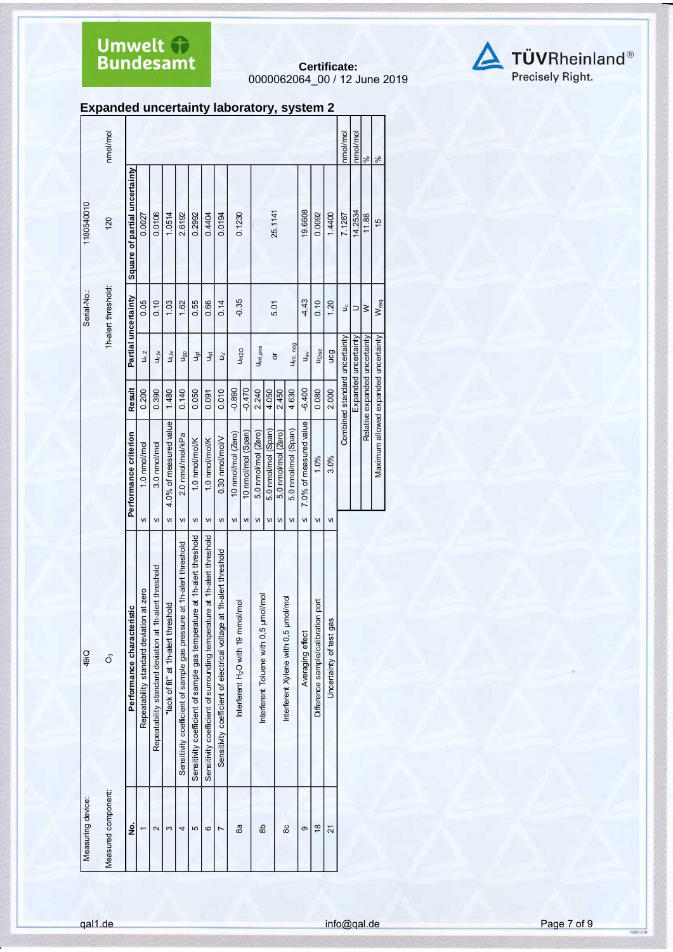**Certificate:** 0000062064\_00 / 12 June 2019



| <b>Expanded uncertainty laboratory, system 2</b> |  |  |
|--------------------------------------------------|--|--|
|--------------------------------------------------|--|--|

|                   | nmol/mol            |                                 |                                                |                                                              |                                           |                                                                            |                                                                               |                                                                                        |                                                                           |                                                     |                    |                                             |                     |                     |                                            |                        |                                          |                               | nmol/mol                      | nmol/mol             | $\aleph$                      | $\%$                                 |
|-------------------|---------------------|---------------------------------|------------------------------------------------|--------------------------------------------------------------|-------------------------------------------|----------------------------------------------------------------------------|-------------------------------------------------------------------------------|----------------------------------------------------------------------------------------|---------------------------------------------------------------------------|-----------------------------------------------------|--------------------|---------------------------------------------|---------------------|---------------------|--------------------------------------------|------------------------|------------------------------------------|-------------------------------|-------------------------------|----------------------|-------------------------------|--------------------------------------|
| 1180540010        | 120                 | Square of partial uncertainty   | 0.0027                                         | 0.0106                                                       | 1.0514                                    | 2.6192                                                                     | 0.2992                                                                        | 0.4404                                                                                 | 0.0194                                                                    | 0.1230                                              |                    |                                             |                     | 25.1141             |                                            | 19.6608                | 0.0092                                   | 1.4400                        | 7.1267                        | 14.2534              | 11.88                         | $\frac{15}{2}$                       |
| Serial-No.:       | 1h-alert threshold: |                                 | 0.05                                           | 0.10                                                         | 1.03                                      | 1.62                                                                       | 0.55                                                                          | 0.66                                                                                   | 0.14                                                                      | $-0.35$                                             |                    |                                             |                     | 5.01                |                                            | $-4.43$                | 0.10                                     | 1.20                          | ٩ç                            | $\Rightarrow$        | $\geq$                        | W <sub>req</sub>                     |
|                   |                     | Partial uncertainty             | $U_{r, Z}$                                     | $u_{\vec{i}}$                                                | $u_{\rm jN}$                              | u <sub>gp</sub>                                                            | <b>J</b> <sub>ot</sub>                                                        | Jșt                                                                                    | $\gtrless$                                                                |                                                     | U <sub>H2O</sub>   | Uint,pos                                    |                     | ৯                   | U <sub>int, neg</sub>                      | $u_{av}$               | U <sub>Dsc</sub>                         | ucg                           |                               | Expanded uncertainty |                               |                                      |
|                   |                     | Result                          | 0.200                                          | 0.390                                                        | 1.480                                     | 0.140                                                                      | 0.050                                                                         | 0.091                                                                                  | 0.010                                                                     | $-0.890$                                            | $-0.470$           | 2.240                                       | 4.050               | 2.450               | 4.630                                      | $-6.400$               | 0.080                                    | 2.000                         | Combined standard uncertainty |                      | Relative expanded uncertainty |                                      |
|                   |                     | Performance criterion           | 1.0 nmol/mol                                   | 3.0 nmol/mol                                                 | 4.0% of measured value                    | 2.0 nmol/mol/kPa                                                           | 1.0 nmol/mol/K                                                                | 1.0 nmol/mol/K                                                                         | 0.30 nmol/mol/V                                                           | 10 nmol/mol (Zero)                                  | 10 nmol/mol (Span) | 5.0 nmol/mol (Zero)                         | 5.0 nmol/mol (Span) | 5.0 nmol/mol (Zero) | 5.0 nmol/mol (Span)                        | 7.0% of measured value | 1.0%                                     | 3.0%                          |                               |                      |                               | Maximum allowed expanded uncertainty |
| 49iQ              | S,                  | istic<br>Performance characteri | VI<br>Repeatability standard deviation at zero | VI<br>Repeatability standard deviation at 1h-alert threshold | VI<br>"lack of fit" at 1h-alert threshold | VI<br>Sensitivity coefficient of sample gas pressure at 1h-alert threshold | VI<br>Sensitivity coefficient of sample gas temperature at 1h-alert threshold | ${\sf VI}$<br>Sensitivity coefficient of surrounding temperature at 1h-alert threshold | VI<br>Sensitivity coefficient of electrical voltage at 1h-alert threshold | VI<br>Interferent H <sub>2</sub> O with 19 mmol/mol | VI                 | VI<br>Interferent Toluene with 0,5 µmol/mol | VI                  | VI                  | VI<br>Interferent Xylene with 0,5 µmol/mol | VI<br>Averaging effect | VI<br>Difference sample/calibration port | VI<br>Uncertainty of test gas |                               |                      |                               |                                      |
| Measuring device: | Measured component: | ġ                               |                                                | $\sim$                                                       | S                                         | 4                                                                          | 5                                                                             | ဖ                                                                                      | L                                                                         | 8a                                                  |                    | 8                                           |                     |                     | 80                                         | ၜ                      | $\frac{\infty}{2}$                       | ম                             |                               |                      |                               |                                      |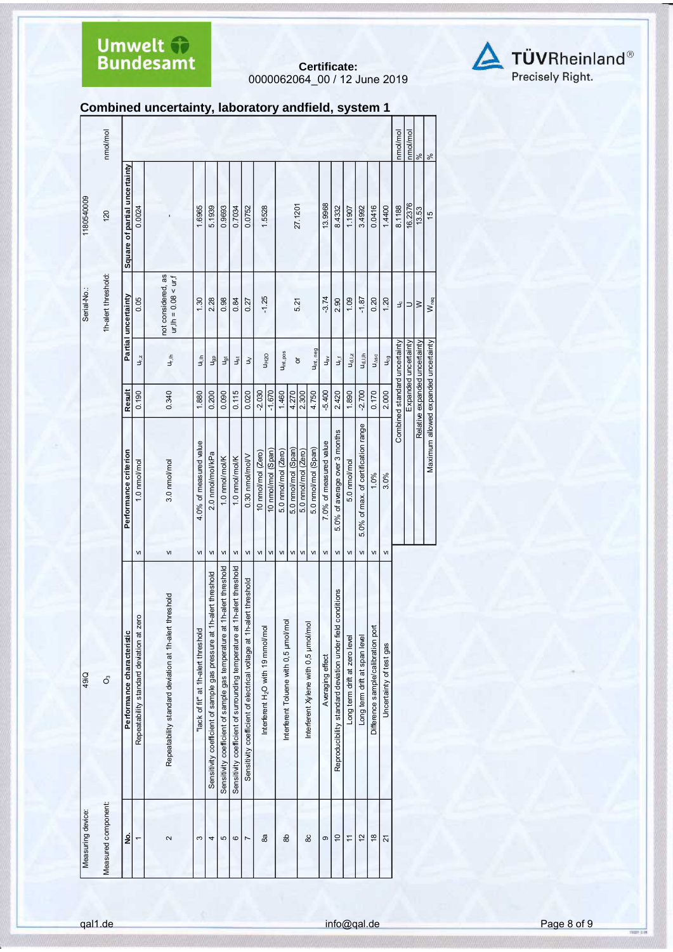**Certificate:** 0000062064\_00 / 12 June 2019



### **Combined uncertainty, laboratory andfield, system 1**

|                   | nmol/mol            |                               |                                          |                                                           |                                     |                                                                      |                                                                            |                                                                             |                                                                         |                                               |                    |                                      |                     |                     |                                      |                        |                                                              |                               |                                     |                                    |                         | nmol/mol                      | nmol/mol             | $\frac{5}{6}$                 | $\frac{8}{3}$                        |
|-------------------|---------------------|-------------------------------|------------------------------------------|-----------------------------------------------------------|-------------------------------------|----------------------------------------------------------------------|----------------------------------------------------------------------------|-----------------------------------------------------------------------------|-------------------------------------------------------------------------|-----------------------------------------------|--------------------|--------------------------------------|---------------------|---------------------|--------------------------------------|------------------------|--------------------------------------------------------------|-------------------------------|-------------------------------------|------------------------------------|-------------------------|-------------------------------|----------------------|-------------------------------|--------------------------------------|
| 1180540009        | 120                 | Square of partial uncertainty | 0.0024                                   |                                                           | 1.6965                              | 5.1939                                                               | 0.9693                                                                     | 0.7034                                                                      | 0.0752                                                                  | 1.5528                                        |                    |                                      |                     | 27.1201             |                                      | 13.9968                | 8.4332                                                       | 1.1907                        | 3.4992                              | 0.0416                             | 1.4400                  | 8.1188                        | 16.2376              | 13.53                         | 15                                   |
| Serial-No.:       | 1h-alert threshold: | Partial uncertainty           | 0.05                                     | not considered, as<br>$ur, lh = 0.08 < ur, f$             | 1.30                                | 2.28                                                                 | 0.98                                                                       | 0.84                                                                        | 0.27                                                                    | $-1.25$                                       |                    |                                      |                     | 5.21                |                                      | $-3.74$                | 2.90                                                         | 1.09                          | $-1.87$                             | 0.20                               | 1.20                    | ٩                             | $\supset$            | $\geq$                        | $W_{req}$                            |
|                   |                     |                               | $U_{r,z}$                                | $u_{r,lh}$                                                | 그                                   | dep                                                                  | Jgt                                                                        | $u_{st}$                                                                    | $\geq$                                                                  |                                               | U <sub>H2O</sub>   | Uint, pos                            |                     | $\overline{\sigma}$ | Uint, neg                            | $u_{\text{av}}$        | υ <sub>τ</sub>                                               | $U_{d, l, z}$                 | U <sub>d, I, Ih</sub>               | $U_{\Delta SC}$                    | U <sub>cg</sub>         | Combined standard uncertainty | Expanded uncertainty | Relative expanded uncertainty |                                      |
|                   |                     | <b>Result</b>                 | 0.190                                    | 0.340                                                     | 1.880                               | 0.200                                                                | 0.090                                                                      | 0.115                                                                       | 0.020                                                                   | $-2.030$                                      | $-1.670$           | 1.460                                | 4.270               | 2.300               | 4.750                                | $-5.400$               | 2.420                                                        | 1.890                         | $-2.700$                            | 0.170                              | 2.000                   |                               |                      |                               |                                      |
|                   |                     | Performance criterion         | 1.0 nmol/mol                             | 3.0 nmol/mol                                              | 4.0% of measured value              | 2.0 nmol/mol/kPa                                                     | 1.0 nmol/mol/K                                                             | 1.0 nmol/mol/K                                                              | 0.30 nmol/mol/V                                                         | 10 nmol/mol (Zero)                            | 10 nmol/mol (Span) | 5.0 nmol/mol (Zero)                  | 5.0 nmol/mol (Span) | 5.0 nmol/mol (Zero) | 5.0 nmol/mol (Span)                  | 7.0% of measured value | 5.0% of average over 3 months                                | 5.0 nmol/mol                  | 5.0% of max. of certification range | 1.0%                               | 3.0%                    |                               |                      |                               | Maximum allowed expanded uncertainty |
|                   |                     |                               | VI                                       | VI                                                        | VI                                  | VI                                                                   | $\mathsf{VI}$                                                              | VI                                                                          | VI                                                                      | VI                                            | VI                 | $\mathsf{VI}$                        | VI                  | VI                  | $\mathsf{V}$                         | VI                     | $\mathsf{V}$                                                 | VI                            | VI                                  | VI                                 | VI                      |                               |                      |                               |                                      |
| 49iQ              | o,                  | Performance characteristic    | Repeatability standard deviation at zero | threshold<br>Repeatability standard deviation at 1h-alert | "lack of fit" at 1h-alert threshold | Sensitivity coefficient of sample gas pressure at 1h-alert threshold | 1h-alert threshold<br>Sensitivity coefficient of sample gas temperature at | 1h-alert threshold<br>Sensitivity coefficient of surrounding temperature at | lert threshold<br>Sensitivity coefficient of electrical voltage at 1h-a | Interferent H <sub>2</sub> O with 19 mmol/mol |                    | Interferent Toluene with 0,5 µmol/mc |                     |                     | Interferent Xylene with 0,5 µmol/mol | Averaging effect       | conditions<br>Reproducibility standard deviation under field | Long term drift at zero level | Long term drift at span level       | Difference sample/calibration port | Uncertainty of test gas |                               |                      |                               |                                      |
| Measuring device: | Measured component: | ġ                             |                                          | $\sim$                                                    | S                                   | 4                                                                    | 5                                                                          | $\circ$                                                                     | Z                                                                       | æ,                                            |                    | 옮                                    |                     |                     | 88                                   | ၜ                      | $\overline{a}$                                               | $\overline{1}$                | 57                                  | $\frac{8}{2}$                      | $\overline{2}$          |                               |                      |                               |                                      |